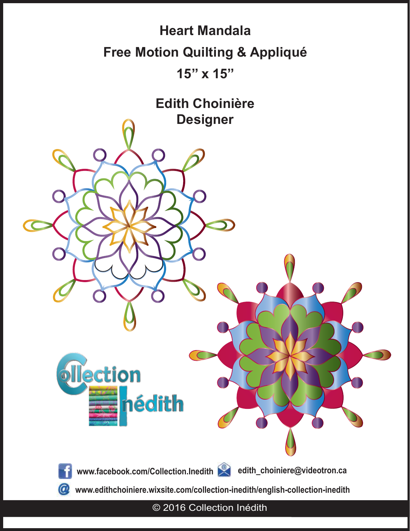

© 2016 Collection Inédith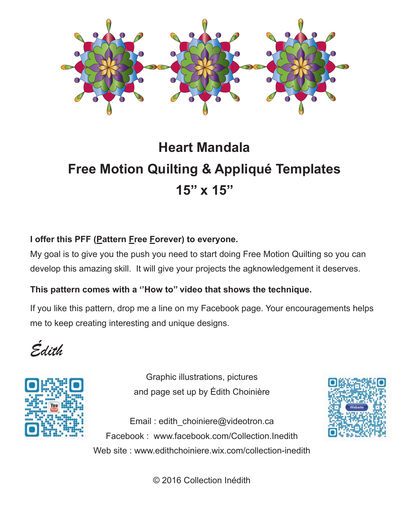

# **Heart Mandala Free Motion Quilting & Appliqué Templates 15'' x 15''**

### **I offer this PFF (Pattern Free Forever) to everyone.**

My goal is to give you the push you need to start doing Free Motion Quilting so you can develop this amazing skill. It will give your projects the agknowledgement it deserves.

#### **This pattern comes with a ''How to'' video that shows the technique.**

If you like this pattern, drop me a line on my Facebook page. Your encouragements helps me to keep creating interesting and unique designs.

*Édith*



Graphic illustrations, pictures and page set up by Édith Choinière

Email : edith\_choiniere@videotron.ca Facebook : www.facebook.com/Collection.Inedith Web site : www.edithchoiniere.wix.com/collection-inedith



© 2016 Collection Inédith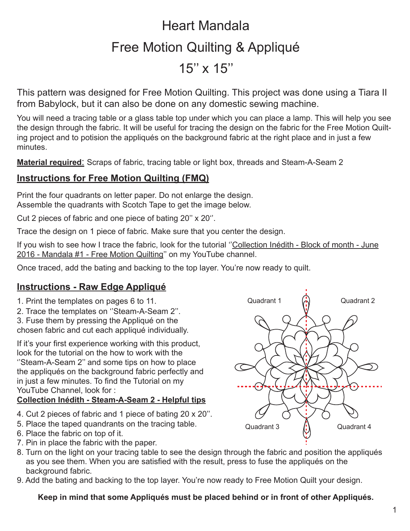# Heart Mandala Free Motion Quilting & Appliqué  $15'' \times 15''$

This pattern was designed for Free Motion Quilting. This project was done using a Tiara II from Babylock, but it can also be done on any domestic sewing machine.

You will need a tracing table or a glass table top under which you can place a lamp. This will help you see the design through the fabric. It will be useful for tracing the design on the fabric for the Free Motion Quilting project and to potision the appliqués on the background fabric at the right place and in just a few minutes.

**Material required**: Scraps of fabric, tracing table or light box, threads and Steam-A-Seam 2

### **Instructions for Free Motion Quilting (FMQ)**

Print the four quadrants on letter paper. Do not enlarge the design. Assemble the quadrants with Scotch Tape to get the image below.

Cut 2 pieces of fabric and one piece of bating 20'' x 20''.

Trace the design on 1 piece of fabric. Make sure that you center the design.

If you wish to see how I trace the fabric, look for the tutorial "Collection Inédith - Block of month - June 2016 - Mandala #1 - Free Motion Quilting'' on my YouTube channel.

Once traced, add the bating and backing to the top layer. You're now ready to quilt.

## **Instructions - Raw Edge Appliqué**

- 1. Print the templates on pages 6 to 11.
- 2. Trace the templates on ''Steam-A-Seam 2''.
- 3. Fuse them by pressing the Appliqué on the chosen fabric and cut each appliqué individually.

If it's your first experience working with this product, look for the tutorial on the how to work with the ''Steam-A-Seam 2'' and some tips on how to place the appliqués on the background fabric perfectly and in just a few minutes. To find the Tutorial on my YouTube Channel, look for :

#### **Collection Inédith - Steam-A-Seam 2 - Helpful tips**

- 4. Cut 2 pieces of fabric and 1 piece of bating 20 x 20''.
- 5. Place the taped quandrants on the tracing table.
- 6. Place the fabric on top of it.
- 7. Pin in place the fabric with the paper.
- 8. Turn on the light on your tracing table to see the design through the fabric and position the appliqués as you see them. When you are satisfied with the result, press to fuse the appliqués on the background fabric.
- 9. Add the bating and backing to the top layer. You're now ready to Free Motion Quilt your design.

#### **Keep in mind that some Appliqués must be placed behind or in front of other Appliqués.**

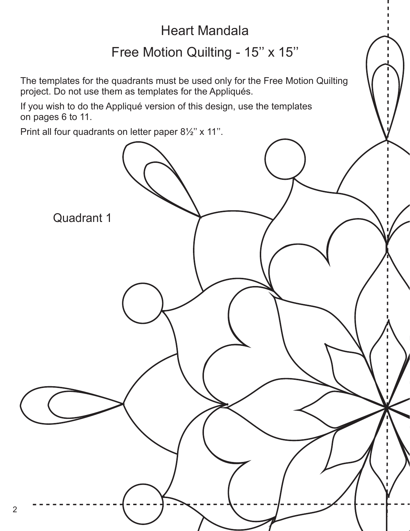# Heart Mandala

## Free Motion Quilting - 15" x 15"

The templates for the quadrants must be used only for the Free Motion Quilting project. Do not use them as templates for the Appliqués.

If you wish to do the Appliqué version of this design, use the templates on pages 6 to 11.

Print all four quadrants on letter paper 8½'' x 11''.

2

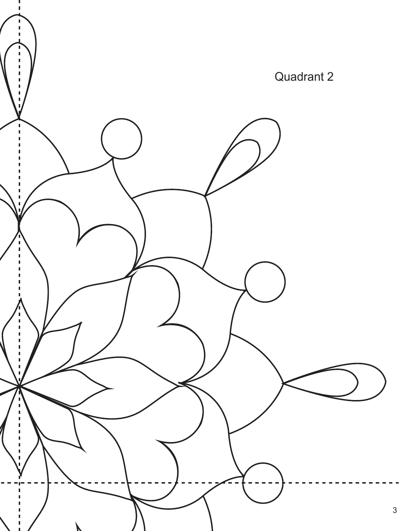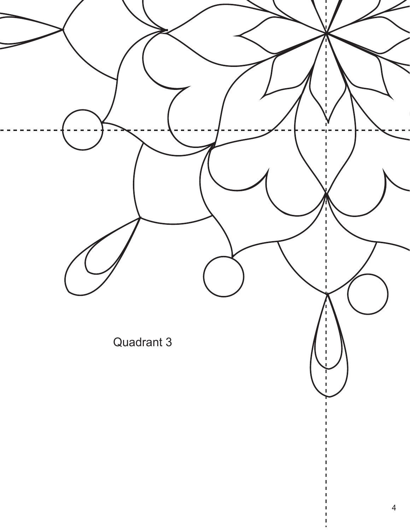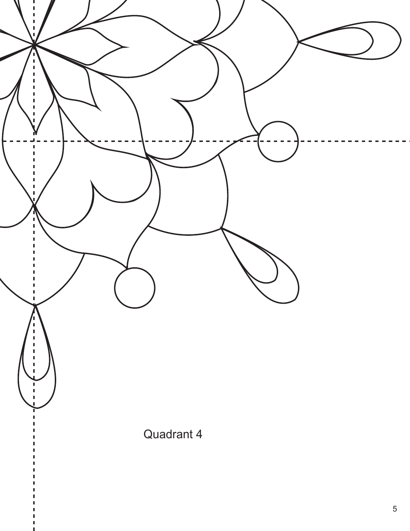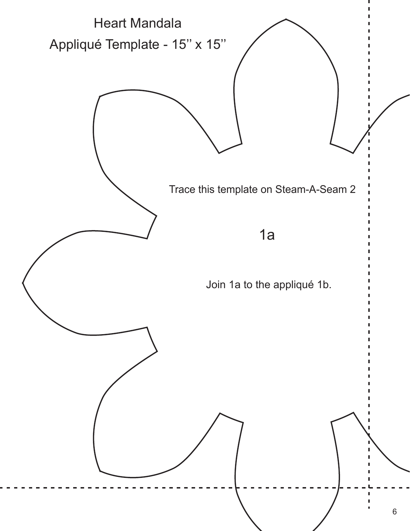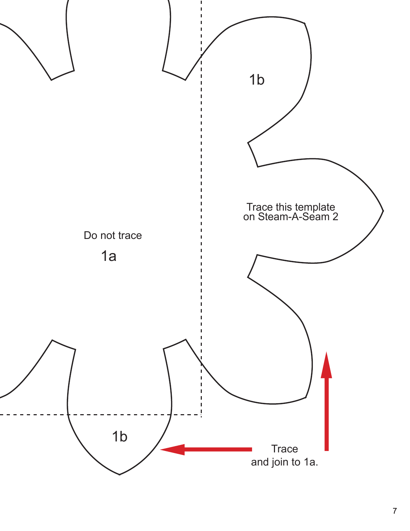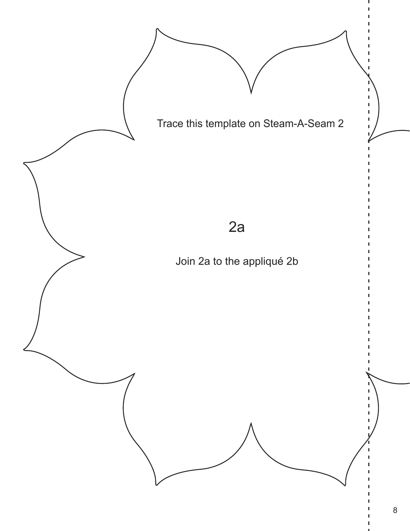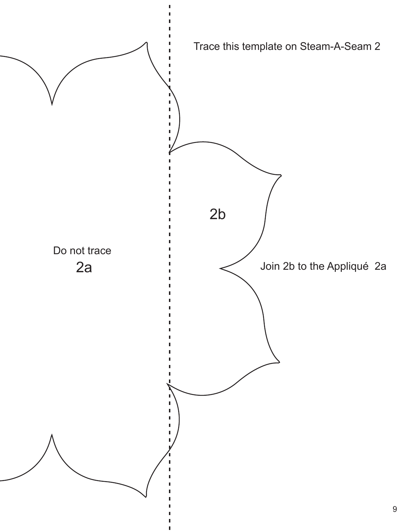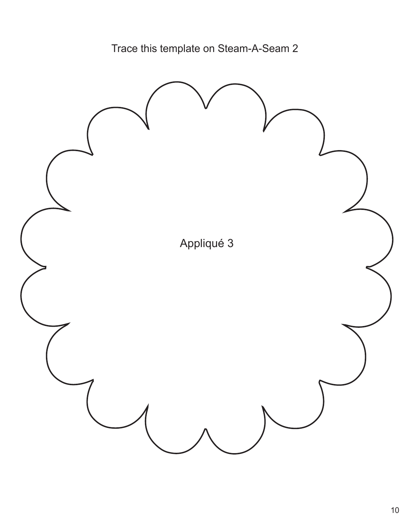